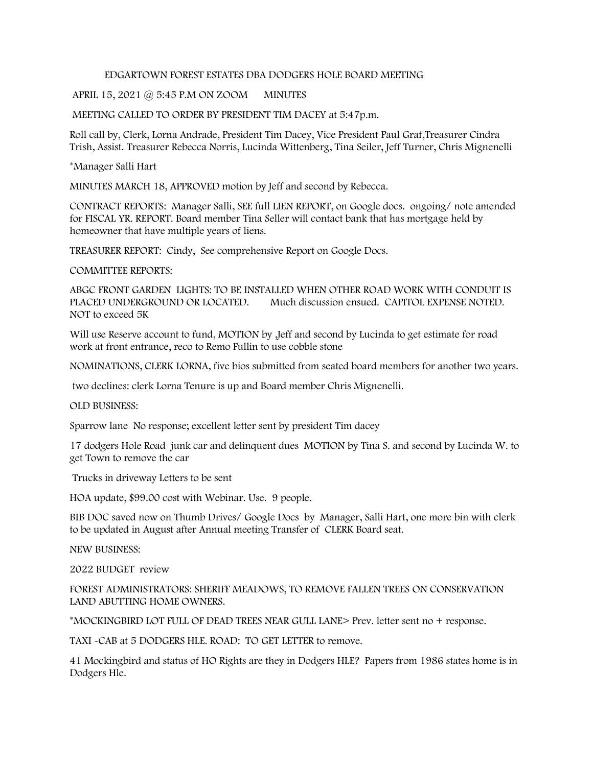## EDGARTOWN FOREST ESTATES DBA DODGERS HOLE BOARD MEETING

## APRIL 15, 2021 @ 5:45 P.M ON ZOOM MINUTES

## MEETING CALLED TO ORDER BY PRESIDENT TIM DACEY at 5:47p.m.

Roll call by, Clerk, Lorna Andrade, President Tim Dacey, Vice President Paul Graf,Treasurer Cindra Trish, Assist. Treasurer Rebecca Norris, Lucinda Wittenberg, Tina Seiler, Jeff Turner, Chris Mignenelli

\*Manager Salli Hart

MINUTES MARCH 18, APPROVED motion by Jeff and second by Rebecca.

CONTRACT REPORTS: Manager Salli, SEE full LIEN REPORT, on Google docs. ongoing/ note amended for FISCAL YR. REPORT. Board member Tina Seller will contact bank that has mortgage held by homeowner that have multiple years of liens.

TREASURER REPORT: Cindy, See comprehensive Report on Google Docs.

COMMITTEE REPORTS:

ABGC FRONT GARDEN LIGHTS: TO BE INSTALLED WHEN OTHER ROAD WORK WITH CONDUIT IS PLACED UNDERGROUND OR LOCATED. Much discussion ensued. CAPITOL EXPENSE NOTED. NOT to exceed 5K

Will use Reserve account to fund, MOTION by ,Jeff and second by Lucinda to get estimate for road work at front entrance, reco to Remo Fullin to use cobble stone

NOMINATIONS, CLERK LORNA, five bios submitted from seated board members for another two years.

two declines: clerk Lorna Tenure is up and Board member Chris Mignenelli.

OLD BUSINESS:

Sparrow lane No response; excellent letter sent by president Tim dacey

17 dodgers Hole Road junk car and delinquent dues MOTION by Tina S. and second by Lucinda W. to get Town to remove the car

Trucks in driveway Letters to be sent

HOA update, \$99.00 cost with Webinar. Use. 9 people.

BIB DOC saved now on Thumb Drives/ Google Docs by Manager, Salli Hart, one more bin with clerk to be updated in August after Annual meeting Transfer of CLERK Board seat.

NEW BUSINESS:

2022 BUDGET review

FOREST ADMINISTRATORS: SHERIFF MEADOWS, TO REMOVE FALLEN TREES ON CONSERVATION LAND ABUTTING HOME OWNERS.

\*MOCKINGBIRD LOT FULL OF DEAD TREES NEAR GULL LANE> Prev. letter sent no + response.

TAXI -CAB at 5 DODGERS HLE. ROAD: TO GET LETTER to remove.

41 Mockingbird and status of HO Rights are they in Dodgers HLE? Papers from 1986 states home is in Dodgers Hle.